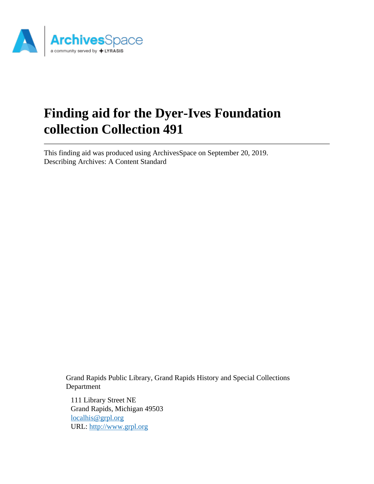

# **Finding aid for the Dyer-Ives Foundation collection Collection 491**

This finding aid was produced using ArchivesSpace on September 20, 2019. Describing Archives: A Content Standard

Grand Rapids Public Library, Grand Rapids History and Special Collections Department

111 Library Street NE Grand Rapids, Michigan 49503 [localhis@grpl.org](mailto:localhis@grpl.org) URL:<http://www.grpl.org>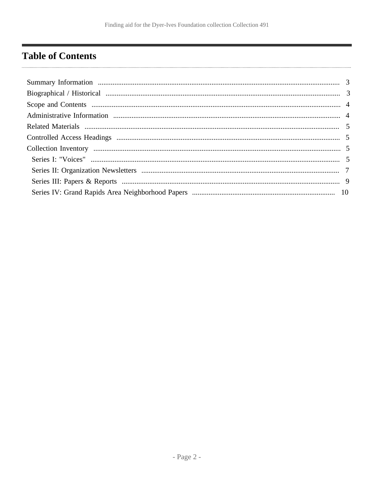# <span id="page-1-0"></span>**Table of Contents**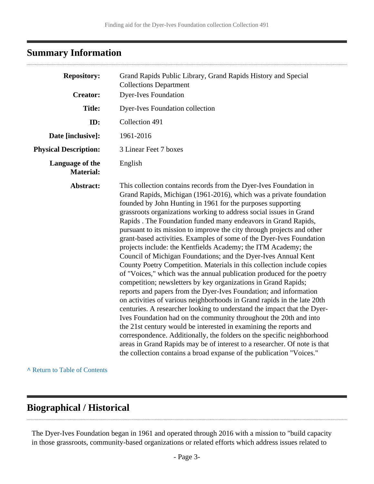## <span id="page-2-0"></span>**Summary Information**

. . . . . . . . . . . . . . . . . . .

| <b>Repository:</b>                  | Grand Rapids Public Library, Grand Rapids History and Special<br><b>Collections Department</b>                                                                                                                                                                                                                                                                                                                                                                                                                                                                                                                                                                                                                                                                                                                                                                                                                                                                                                                                                                                                                                                                                                                                                                                                                                                                                                                                                               |
|-------------------------------------|--------------------------------------------------------------------------------------------------------------------------------------------------------------------------------------------------------------------------------------------------------------------------------------------------------------------------------------------------------------------------------------------------------------------------------------------------------------------------------------------------------------------------------------------------------------------------------------------------------------------------------------------------------------------------------------------------------------------------------------------------------------------------------------------------------------------------------------------------------------------------------------------------------------------------------------------------------------------------------------------------------------------------------------------------------------------------------------------------------------------------------------------------------------------------------------------------------------------------------------------------------------------------------------------------------------------------------------------------------------------------------------------------------------------------------------------------------------|
| <b>Creator:</b>                     | <b>Dyer-Ives Foundation</b>                                                                                                                                                                                                                                                                                                                                                                                                                                                                                                                                                                                                                                                                                                                                                                                                                                                                                                                                                                                                                                                                                                                                                                                                                                                                                                                                                                                                                                  |
| <b>Title:</b>                       | <b>Dyer-Ives Foundation collection</b>                                                                                                                                                                                                                                                                                                                                                                                                                                                                                                                                                                                                                                                                                                                                                                                                                                                                                                                                                                                                                                                                                                                                                                                                                                                                                                                                                                                                                       |
| ID:                                 | Collection 491                                                                                                                                                                                                                                                                                                                                                                                                                                                                                                                                                                                                                                                                                                                                                                                                                                                                                                                                                                                                                                                                                                                                                                                                                                                                                                                                                                                                                                               |
| Date [inclusive]:                   | 1961-2016                                                                                                                                                                                                                                                                                                                                                                                                                                                                                                                                                                                                                                                                                                                                                                                                                                                                                                                                                                                                                                                                                                                                                                                                                                                                                                                                                                                                                                                    |
| <b>Physical Description:</b>        | 3 Linear Feet 7 boxes                                                                                                                                                                                                                                                                                                                                                                                                                                                                                                                                                                                                                                                                                                                                                                                                                                                                                                                                                                                                                                                                                                                                                                                                                                                                                                                                                                                                                                        |
| Language of the<br><b>Material:</b> | English                                                                                                                                                                                                                                                                                                                                                                                                                                                                                                                                                                                                                                                                                                                                                                                                                                                                                                                                                                                                                                                                                                                                                                                                                                                                                                                                                                                                                                                      |
| Abstract:                           | This collection contains records from the Dyer-Ives Foundation in<br>Grand Rapids, Michigan (1961-2016), which was a private foundation<br>founded by John Hunting in 1961 for the purposes supporting<br>grassroots organizations working to address social issues in Grand<br>Rapids. The Foundation funded many endeavors in Grand Rapids,<br>pursuant to its mission to improve the city through projects and other<br>grant-based activities. Examples of some of the Dyer-Ives Foundation<br>projects include: the Kentfields Academy; the ITM Academy; the<br>Council of Michigan Foundations; and the Dyer-Ives Annual Kent<br>County Poetry Competition. Materials in this collection include copies<br>of "Voices," which was the annual publication produced for the poetry<br>competition; newsletters by key organizations in Grand Rapids;<br>reports and papers from the Dyer-Ives Foundation; and information<br>on activities of various neighborhoods in Grand rapids in the late 20th<br>centuries. A researcher looking to understand the impact that the Dyer-<br>Ives Foundation had on the community throughout the 20th and into<br>the 21st century would be interested in examining the reports and<br>correspondence. Additionally, the folders on the specific neighborhood<br>areas in Grand Rapids may be of interest to a researcher. Of note is that<br>the collection contains a broad expanse of the publication "Voices." |

**^** [Return to Table of Contents](#page-1-0)

### <span id="page-2-1"></span>**Biographical / Historical**

The Dyer-Ives Foundation began in 1961 and operated through 2016 with a mission to "build capacity in those grassroots, community-based organizations or related efforts which address issues related to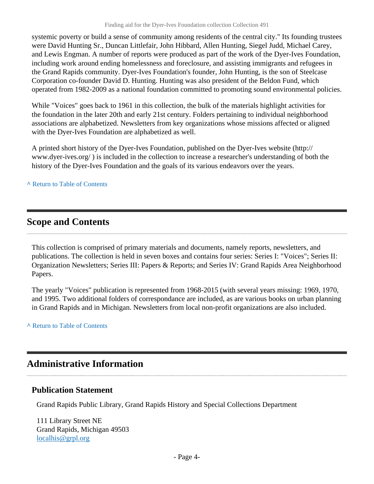systemic poverty or build a sense of community among residents of the central city." Its founding trustees were David Hunting Sr., Duncan Littlefair, John Hibbard, Allen Hunting, Siegel Judd, Michael Carey, and Lewis Engman. A number of reports were produced as part of the work of the Dyer-Ives Foundation, including work around ending homelessness and foreclosure, and assisting immigrants and refugees in the Grand Rapids community. Dyer-Ives Foundation's founder, John Hunting, is the son of Steelcase Corporation co-founder David D. Hunting. Hunting was also president of the Beldon Fund, which operated from 1982-2009 as a national foundation committed to promoting sound environmental policies.

While "Voices" goes back to 1961 in this collection, the bulk of the materials highlight activities for the foundation in the later 20th and early 21st century. Folders pertaining to individual neighborhood associations are alphabetized. Newsletters from key organizations whose missions affected or aligned with the Dyer-Ives Foundation are alphabetized as well.

A printed short history of the Dyer-Ives Foundation, published on the Dyer-Ives website (http:// www.dyer-ives.org/ ) is included in the collection to increase a researcher's understanding of both the history of the Dyer-Ives Foundation and the goals of its various endeavors over the years.

#### **^** [Return to Table of Contents](#page-1-0)

### <span id="page-3-0"></span>**Scope and Contents**

This collection is comprised of primary materials and documents, namely reports, newsletters, and publications. The collection is held in seven boxes and contains four series: Series I: "Voices"; Series II: Organization Newsletters; Series III: Papers & Reports; and Series IV: Grand Rapids Area Neighborhood Papers.

The yearly "Voices" publication is represented from 1968-2015 (with several years missing: 1969, 1970, and 1995. Two additional folders of correspondance are included, as are various books on urban planning in Grand Rapids and in Michigan. Newsletters from local non-profit organizations are also included.

#### **^** [Return to Table of Contents](#page-1-0)

### <span id="page-3-1"></span>**Administrative Information**

#### **Publication Statement**

Grand Rapids Public Library, Grand Rapids History and Special Collections Department

111 Library Street NE Grand Rapids, Michigan 49503 [localhis@grpl.org](mailto:localhis@grpl.org)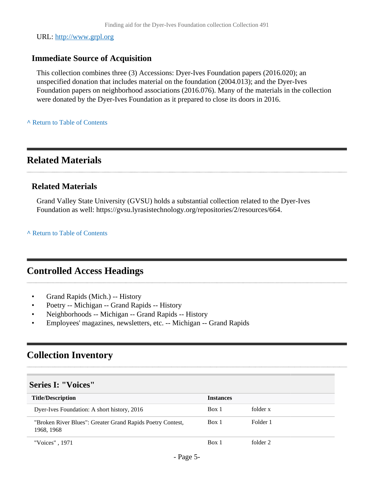URL:<http://www.grpl.org>

### **Immediate Source of Acquisition**

This collection combines three (3) Accessions: Dyer-Ives Foundation papers (2016.020); an unspecified donation that includes material on the foundation (2004.013); and the Dyer-Ives Foundation papers on neighborhood associations (2016.076). Many of the materials in the collection were donated by the Dyer-Ives Foundation as it prepared to close its doors in 2016.

**^** [Return to Table of Contents](#page-1-0)

### <span id="page-4-0"></span>**Related Materials**

#### **Related Materials**

Grand Valley State University (GVSU) holds a substantial collection related to the Dyer-Ives Foundation as well: https://gvsu.lyrasistechnology.org/repositories/2/resources/664.

**^** [Return to Table of Contents](#page-1-0)

### <span id="page-4-1"></span>**Controlled Access Headings**

- Grand Rapids (Mich.) -- History
- Poetry -- Michigan -- Grand Rapids -- History
- Neighborhoods -- Michigan -- Grand Rapids -- History
- Employees' magazines, newsletters, etc. -- Michigan -- Grand Rapids

### <span id="page-4-2"></span>**Collection Inventory**

#### <span id="page-4-3"></span>**Series I: "Voices"**

| <b>Title/Description</b>                                                 | <b>Instances</b> |          |
|--------------------------------------------------------------------------|------------------|----------|
| Dyer-Ives Foundation: A short history, 2016                              | Box 1            | folder x |
| "Broken River Blues": Greater Grand Rapids Poetry Contest,<br>1968, 1968 | Box 1            | Folder 1 |
| "Voices", 1971                                                           | Box 1            | folder 2 |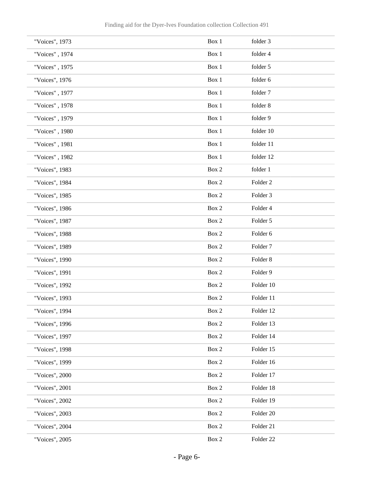| "Voices", 1973 | Box 1          | folder 3            |
|----------------|----------------|---------------------|
| "Voices", 1974 | Box 1          | folder 4            |
| "Voices", 1975 | Box 1          | folder 5            |
| "Voices", 1976 | Box 1          | folder 6            |
| "Voices", 1977 | Box 1          | folder 7            |
| "Voices", 1978 | Box 1          | folder 8            |
| "Voices", 1979 | Box 1          | folder 9            |
| "Voices", 1980 | Box 1          | folder 10           |
| "Voices", 1981 | Box 1          | folder 11           |
| "Voices", 1982 | Box 1          | folder 12           |
| "Voices", 1983 | Box 2          | folder 1            |
| "Voices", 1984 | Box 2          | Folder <sub>2</sub> |
| "Voices", 1985 | Box 2          | Folder 3            |
| "Voices", 1986 | Box 2          | Folder 4            |
| "Voices", 1987 | Box 2          | Folder 5            |
| "Voices", 1988 | Box 2          | Folder 6            |
| "Voices", 1989 | Box 2          | Folder <sub>7</sub> |
| "Voices", 1990 | Box 2          | Folder 8            |
| "Voices", 1991 | Box 2          | Folder 9            |
| "Voices", 1992 | Box 2          | Folder 10           |
| "Voices", 1993 | Box 2          | Folder 11           |
| "Voices", 1994 | Box $2$        | Folder 12           |
| "Voices", 1996 | Box 2          | Folder 13           |
| "Voices", 1997 | Box 2          | Folder 14           |
| "Voices", 1998 | Box 2          | Folder 15           |
| "Voices", 1999 | Box 2          | Folder 16           |
| "Voices", 2000 | Box 2          | Folder 17           |
| "Voices", 2001 | Box 2          | Folder 18           |
| "Voices", 2002 | Box 2          | Folder 19           |
| "Voices", 2003 | Box 2          | Folder 20           |
| "Voices", 2004 | Box 2          | Folder 21           |
| "Voices", 2005 | $\mbox{Box}~2$ | Folder 22           |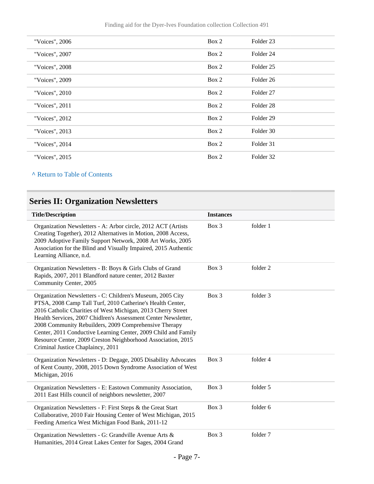Finding aid for the Dyer-Ives Foundation collection Collection 491

| "Voices", 2006 | Box 2 | Folder <sub>23</sub> |
|----------------|-------|----------------------|
| "Voices", 2007 | Box 2 | Folder 24            |
| "Voices", 2008 | Box 2 | Folder <sub>25</sub> |
| "Voices", 2009 | Box 2 | Folder 26            |
| "Voices", 2010 | Box 2 | Folder <sub>27</sub> |
| "Voices", 2011 | Box 2 | Folder <sub>28</sub> |
| "Voices", 2012 | Box 2 | Folder <sub>29</sub> |
| "Voices", 2013 | Box 2 | Folder 30            |
| "Voices", 2014 | Box 2 | Folder 31            |
| "Voices", 2015 | Box 2 | Folder 32            |

**^** [Return to Table of Contents](#page-1-0)

### <span id="page-6-0"></span>**Series II: Organization Newsletters**

| <b>Title/Description</b>                                                                                                                                                                                                                                                                                                                                                                                                                                                                   | <b>Instances</b> |          |
|--------------------------------------------------------------------------------------------------------------------------------------------------------------------------------------------------------------------------------------------------------------------------------------------------------------------------------------------------------------------------------------------------------------------------------------------------------------------------------------------|------------------|----------|
| Organization Newsletters - A: Arbor circle, 2012 ACT (Artists<br>Creating Together), 2012 Alternatives in Motion, 2008 Access,<br>2009 Adoptive Family Support Network, 2008 Art Works, 2005<br>Association for the Blind and Visually Impaired, 2015 Authentic<br>Learning Alliance, n.d.                                                                                                                                                                                                 | Box 3            | folder 1 |
| Organization Newsletters - B: Boys & Girls Clubs of Grand<br>Rapids, 2007, 2011 Blandford nature center, 2012 Baxter<br>Community Center, 2005                                                                                                                                                                                                                                                                                                                                             | Box 3            | folder 2 |
| Organization Newsletters - C: Children's Museum, 2005 City<br>PTSA, 2008 Camp Tall Turf, 2010 Catherine's Health Center,<br>2016 Catholic Charities of West Michigan, 2013 Cherry Street<br>Health Services, 2007 Chidlren's Assessment Center Newsletter,<br>2008 Community Rebuilders, 2009 Comprehensive Therapy<br>Center, 2011 Conductive Learning Center, 2009 Child and Family<br>Resource Center, 2009 Creston Neighborhood Association, 2015<br>Criminal Justice Chaplaincy, 2011 | Box 3            | folder 3 |
| Organization Newsletters - D: Degage, 2005 Disability Advocates<br>of Kent County, 2008, 2015 Down Syndrome Association of West<br>Michigan, 2016                                                                                                                                                                                                                                                                                                                                          | Box 3            | folder 4 |
| Organization Newsletters - E: Eastown Community Association,<br>2011 East Hills council of neighbors newsletter, 2007                                                                                                                                                                                                                                                                                                                                                                      | Box 3            | folder 5 |
| Organization Newsletters - F: First Steps & the Great Start<br>Collaborative, 2010 Fair Housing Center of West Michigan, 2015<br>Feeding America West Michigan Food Bank, 2011-12                                                                                                                                                                                                                                                                                                          | Box 3            | folder 6 |
| Organization Newsletters - G: Grandville Avenue Arts &<br>Humanities, 2014 Great Lakes Center for Sages, 2004 Grand                                                                                                                                                                                                                                                                                                                                                                        | Box 3            | folder 7 |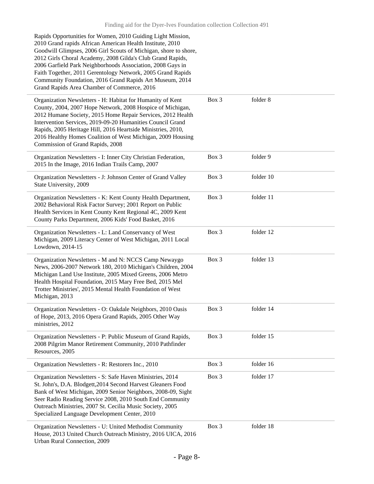| Rapids Opportunities for Women, 2010 Guiding Light Mission,<br>2010 Grand rapids African American Health Institute, 2010<br>Goodwill Glimpses, 2006 Girl Scouts of Michigan, shore to shore,<br>2012 Girls Choral Academy, 2008 Gilda's Club Grand Rapids,<br>2006 Garfield Park Neighborhoods Association, 2008 Gays in<br>Faith Together, 2011 Gerentology Network, 2005 Grand Rapids<br>Community Foundation, 2016 Grand Rapids Art Museum, 2014<br>Grand Rapids Area Chamber of Commerce, 2016 |       |           |
|----------------------------------------------------------------------------------------------------------------------------------------------------------------------------------------------------------------------------------------------------------------------------------------------------------------------------------------------------------------------------------------------------------------------------------------------------------------------------------------------------|-------|-----------|
| Organization Newsletters - H: Habitat for Humanity of Kent<br>County, 2004, 2007 Hope Network, 2008 Hospice of Michigan,<br>2012 Humane Society, 2015 Home Repair Services, 2012 Health<br>Intervention Services, 2019-09-20 Humanities Council Grand<br>Rapids, 2005 Heritage Hill, 2016 Heartside Ministries, 2010,<br>2016 Healthy Homes Coalition of West Michigan, 2009 Housing<br>Commission of Grand Rapids, 2008                                                                           | Box 3 | folder 8  |
| Organization Newsletters - I: Inner City Christian Federation,<br>2015 In the Image, 2016 Indian Trails Camp, 2007                                                                                                                                                                                                                                                                                                                                                                                 | Box 3 | folder 9  |
| Organization Newsletters - J: Johnson Center of Grand Valley<br>State University, 2009                                                                                                                                                                                                                                                                                                                                                                                                             | Box 3 | folder 10 |
| Organization Newsletters - K: Kent County Health Department,<br>2002 Behavioral Risk Factor Survey; 2001 Report on Public<br>Health Services in Kent County Kent Regional 4C, 2009 Kent<br>County Parks Department, 2006 Kids' Food Basket, 2016                                                                                                                                                                                                                                                   | Box 3 | folder 11 |
| Organization Newsletters - L: Land Conservancy of West<br>Michigan, 2009 Literacy Center of West Michigan, 2011 Local<br>Lowdown, 2014-15                                                                                                                                                                                                                                                                                                                                                          | Box 3 | folder 12 |
| Organization Newsletters - M and N: NCCS Camp Newaygo<br>News, 2006-2007 Network 180, 2010 Michigan's Children, 2004<br>Michigan Land Use Institute, 2005 Mixed Greens, 2006 Metro<br>Health Hospital Foundation, 2015 Mary Free Bed, 2015 Mel<br>Trotter Ministries', 2015 Mental Health Foundation of West<br>Michigan, 2013                                                                                                                                                                     | Box 3 | folder 13 |
| Organization Newsletters - O: Oakdale Neighbors, 2010 Oasis<br>of Hope, 2013, 2016 Opera Grand Rapids, 2005 Other Way<br>ministries, 2012                                                                                                                                                                                                                                                                                                                                                          | Box 3 | folder 14 |
| Organization Newsletters - P: Public Museum of Grand Rapids,<br>2008 Pilgrim Manor Retirement Community, 2010 Pathfinder<br>Resources, 2005                                                                                                                                                                                                                                                                                                                                                        | Box 3 | folder 15 |
| Organization Newsletters - R: Restorers Inc., 2010                                                                                                                                                                                                                                                                                                                                                                                                                                                 | Box 3 | folder 16 |
| Organization Newsletters - S: Safe Haven Ministries, 2014<br>St. John's, D.A. Blodgett, 2014 Second Harvest Gleaners Food<br>Bank of West Michigan, 2009 Senior Neighbors, 2008-09, Sight<br>Seer Radio Reading Service 2008, 2010 South End Community<br>Outreach Ministries, 2007 St. Cecilia Music Society, 2005<br>Specialized Language Development Center, 2010                                                                                                                               | Box 3 | folder 17 |
| Organization Newsletters - U: United Methodist Community<br>House, 2013 United Church Outreach Ministry, 2016 UICA, 2016<br>Urban Rural Connection, 2009                                                                                                                                                                                                                                                                                                                                           | Box 3 | folder 18 |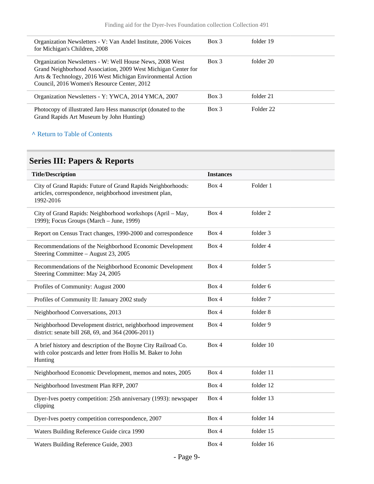| Organization Newsletters - V: Van Andel Institute, 2006 Voices                                                                                                                                                                         | $Box$ 3  | folder 19 |
|----------------------------------------------------------------------------------------------------------------------------------------------------------------------------------------------------------------------------------------|----------|-----------|
| for Michigan's Children, 2008                                                                                                                                                                                                          |          |           |
| Organization Newsletters - W: Well House News, 2008 West<br>Grand Neighborhood Association, 2009 West Michigan Center for<br>Arts & Technology, 2016 West Michigan Environmental Action<br>Council, 2016 Women's Resource Center, 2012 | $Box\ 3$ | folder 20 |
| Organization Newsletters - Y: YWCA, 2014 YMCA, 2007                                                                                                                                                                                    | $Box$ 3  | folder 21 |
| Photocopy of illustrated Jaro Hess manuscript (donated to the<br>Grand Rapids Art Museum by John Hunting)                                                                                                                              | $Box$ 3  | Folder 22 |

#### **^** [Return to Table of Contents](#page-1-0)

### <span id="page-8-0"></span>**Series III: Papers & Reports**

| <b>Title/Description</b>                                                                                                                  | <b>Instances</b> |           |
|-------------------------------------------------------------------------------------------------------------------------------------------|------------------|-----------|
| City of Grand Rapids: Future of Grand Rapids Neighborhoods:<br>articles, correspondence, neighborhood investment plan,<br>1992-2016       | Box 4            | Folder 1  |
| City of Grand Rapids: Neighborhood workshops (April - May,<br>1999); Focus Groups (March - June, 1999)                                    | Box 4            | folder 2  |
| Report on Census Tract changes, 1990-2000 and correspondence                                                                              | Box 4            | folder 3  |
| Recommendations of the Neighborhood Economic Development<br>Steering Committee – August 23, 2005                                          | Box 4            | folder 4  |
| Recommendations of the Neighborhood Economic Development<br>Steering Committee: May 24, 2005                                              | Box 4            | folder 5  |
| Profiles of Community: August 2000                                                                                                        | Box 4            | folder 6  |
| Profiles of Community II: January 2002 study                                                                                              | Box 4            | folder 7  |
| Neighborhood Conversations, 2013                                                                                                          | Box 4            | folder 8  |
| Neighborhood Development district, neighborhood improvement<br>district: senate bill 268, 69, and 364 (2006-2011)                         | Box 4            | folder 9  |
| A brief history and description of the Boyne City Railroad Co.<br>with color postcards and letter from Hollis M. Baker to John<br>Hunting | Box 4            | folder 10 |
| Neighborhood Economic Development, memos and notes, 2005                                                                                  | Box 4            | folder 11 |
| Neighborhood Investment Plan RFP, 2007                                                                                                    | Box 4            | folder 12 |
| Dyer-Ives poetry competition: 25th anniversary (1993): newspaper<br>clipping                                                              | Box 4            | folder 13 |
| Dyer-Ives poetry competition correspondence, 2007                                                                                         | Box 4            | folder 14 |
| Waters Building Reference Guide circa 1990                                                                                                | Box 4            | folder 15 |
| Waters Building Reference Guide, 2003                                                                                                     | Box 4            | folder 16 |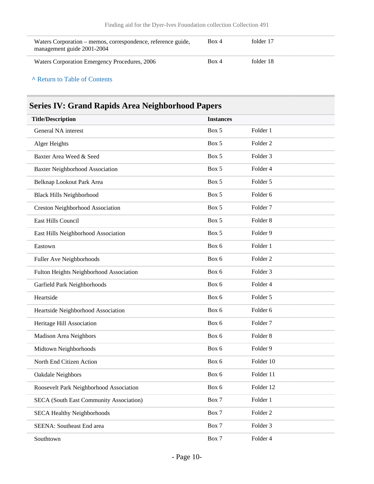| Waters Corporation – memos, correspondence, reference guide,<br>management guide 2001-2004 | Box 4 | folder 17 |
|--------------------------------------------------------------------------------------------|-------|-----------|
| Waters Corporation Emergency Procedures, 2006                                              | Box 4 | folder 18 |

#### **^** [Return to Table of Contents](#page-1-0)

### <span id="page-9-0"></span>**Series IV: Grand Rapids Area Neighborhood Papers**

| <b>Title/Description</b>                       | <b>Instances</b> |                     |
|------------------------------------------------|------------------|---------------------|
| General NA interest                            | Box 5            | Folder 1            |
| Alger Heights                                  | Box 5            | Folder <sub>2</sub> |
| Baxter Area Weed & Seed                        | Box 5            | Folder <sub>3</sub> |
| <b>Baxter Neighborhood Association</b>         | Box 5            | Folder 4            |
| Belknap Lookout Park Area                      | Box 5            | Folder 5            |
| <b>Black Hills Neighborhood</b>                | Box 5            | Folder 6            |
| <b>Creston Neighborhood Association</b>        | Box 5            | Folder <sub>7</sub> |
| East Hills Council                             | Box 5            | Folder <sub>8</sub> |
| East Hills Neighborhood Association            | Box 5            | Folder 9            |
| Eastown                                        | Box 6            | Folder 1            |
| Fuller Ave Neighborhoods                       | Box 6            | Folder <sub>2</sub> |
| Fulton Heights Neighborhood Association        | Box 6            | Folder <sub>3</sub> |
| Garfield Park Neighborhoods                    | Box 6            | Folder 4            |
| Heartside                                      | Box 6            | Folder 5            |
| Heartside Neighborhood Association             | Box 6            | Folder 6            |
| Heritage Hill Association                      | Box 6            | Folder <sub>7</sub> |
| Madison Area Neighbors                         | Box 6            | Folder <sub>8</sub> |
| Midtown Neighborhoods                          | Box 6            | Folder 9            |
| North End Citizen Action                       | Box 6            | Folder 10           |
| Oakdale Neighbors                              | Box 6            | Folder 11           |
| Roosevelt Park Neighborhood Association        | Box 6            | Folder 12           |
| <b>SECA (South East Community Association)</b> | Box 7            | Folder 1            |
| <b>SECA Healthy Neighborhoods</b>              | Box 7            | Folder <sub>2</sub> |
| SEENA: Southeast End area                      | Box 7            | Folder 3            |
| Southtown                                      | Box 7            | Folder 4            |